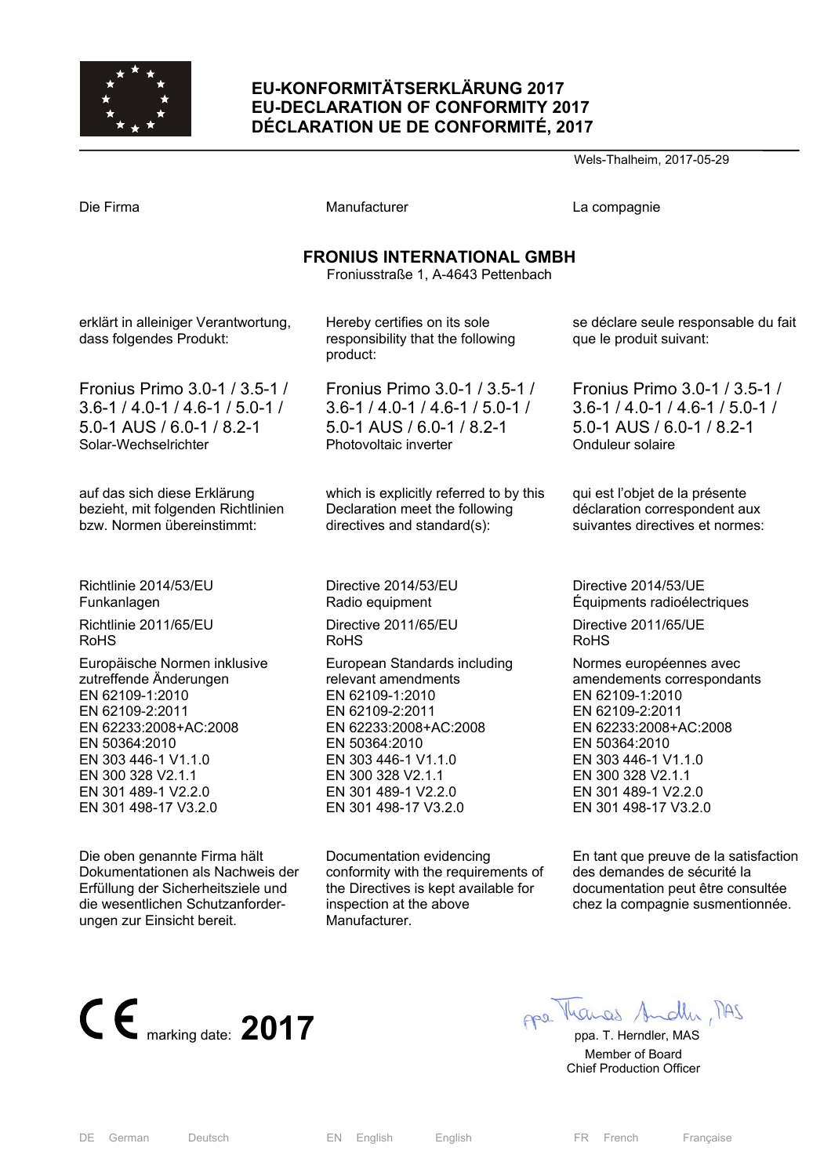

# **EU-KONFORMITÄTSERKLÄRUNG 2017 EU-DECLARATION OF CONFORMITY 2017 DÉCLARATION UE DE CONFORMITÉ, 2017**

Wels-Thalheim, 2017-05-29

| Die Firma                                                               | Manufacturer                                                                  | La compagnie                                                    |
|-------------------------------------------------------------------------|-------------------------------------------------------------------------------|-----------------------------------------------------------------|
| <b>FRONIUS INTERNATIONAL GMBH</b><br>Froniusstraße 1, A-4643 Pettenbach |                                                                               |                                                                 |
| erklärt in alleiniger Verantwortung,<br>dass folgendes Produkt:         | Hereby certifies on its sole<br>responsibility that the following<br>product: | se déclare seule responsable du fait<br>que le produit suivant: |
| Fronius Primo 3.0-1 / 3.5-1 /                                           | Fronius Primo 3.0-1 / 3.5-1 /                                                 | Fronius Primo 3.0-1 / 3.5-1 /                                   |
| $3.6 - 1 / 4.0 - 1 / 4.6 - 1 / 5.0 - 1 /$                               | $3.6 - 1 / 4.0 - 1 / 4.6 - 1 / 5.0 - 1 /$                                     | $3.6 - 1 / 4.0 - 1 / 4.6 - 1 / 5.0 - 1 /$                       |
| 5.0-1 AUS / 6.0-1 / 8.2-1                                               | 5.0-1 AUS / 6.0-1 / 8.2-1                                                     | 5.0-1 AUS / 6.0-1 / 8.2-1                                       |
| Solar-Wechselrichter                                                    | Photovoltaic inverter                                                         | Onduleur solaire                                                |
| auf das sich diese Erklärung                                            | which is explicitly referred to by this                                       | qui est l'objet de la présente                                  |
| bezieht, mit folgenden Richtlinien                                      | Declaration meet the following                                                | déclaration correspondent aux                                   |
| bzw. Normen übereinstimmt:                                              | directives and standard(s):                                                   | suivantes directives et normes:                                 |
| Richtlinie 2014/53/EU                                                   | Directive 2014/53/EU                                                          | Directive 2014/53/UE                                            |
| Funkanlagen                                                             | Radio equipment                                                               | Équipments radioélectriques                                     |
| Richtlinie 2011/65/EU                                                   | Directive 2011/65/EU                                                          | Directive 2011/65/UE                                            |
| <b>RoHS</b>                                                             | <b>RoHS</b>                                                                   | <b>RoHS</b>                                                     |
| Europäische Normen inklusive                                            | European Standards including                                                  | Normes européennes avec                                         |
| zutreffende Änderungen                                                  | relevant amendments                                                           | amendements correspondants                                      |
| EN 62109-1:2010                                                         | EN 62109-1:2010                                                               | EN 62109-1:2010                                                 |
| EN 62109-2:2011                                                         | EN 62109-2:2011                                                               | EN 62109-2:2011                                                 |
| EN 62233:2008+AC:2008                                                   | EN 62233:2008+AC:2008                                                         | EN 62233:2008+AC:2008                                           |
| EN 50364:2010                                                           | EN 50364:2010                                                                 | EN 50364:2010                                                   |
| EN 303 446-1 V1.1.0                                                     | EN 303 446-1 V1.1.0                                                           | EN 303 446-1 V1.1.0                                             |
| EN 300 328 V2.1.1                                                       | EN 300 328 V2.1.1                                                             | EN 300 328 V2.1.1                                               |
| EN 301 489-1 V2.2.0                                                     | EN 301 489-1 V2.2.0                                                           | EN 301 489-1 V2.2.0                                             |
| EN 301 498-17 V3.2.0                                                    | EN 301 498-17 V3.2.0                                                          | EN 301 498-17 V3.2.0                                            |
| Die oben genannte Firma hält                                            | Documentation evidencing                                                      | En tant que preuve de la satisfaction                           |
| Dokumentationen als Nachweis der                                        | conformity with the requirements of                                           | des demandes de sécurité la                                     |
| Erfüllung der Sicherheitsziele und                                      | the Directives is kept available for                                          | documentation peut être consultée                               |



die wesentlichen Schutzanforder-

ungen zur Einsicht bereit.

chez la compagnie susmentionnée.

 Member of Board Chief Production Officer

inspection at the above

Manufacturer.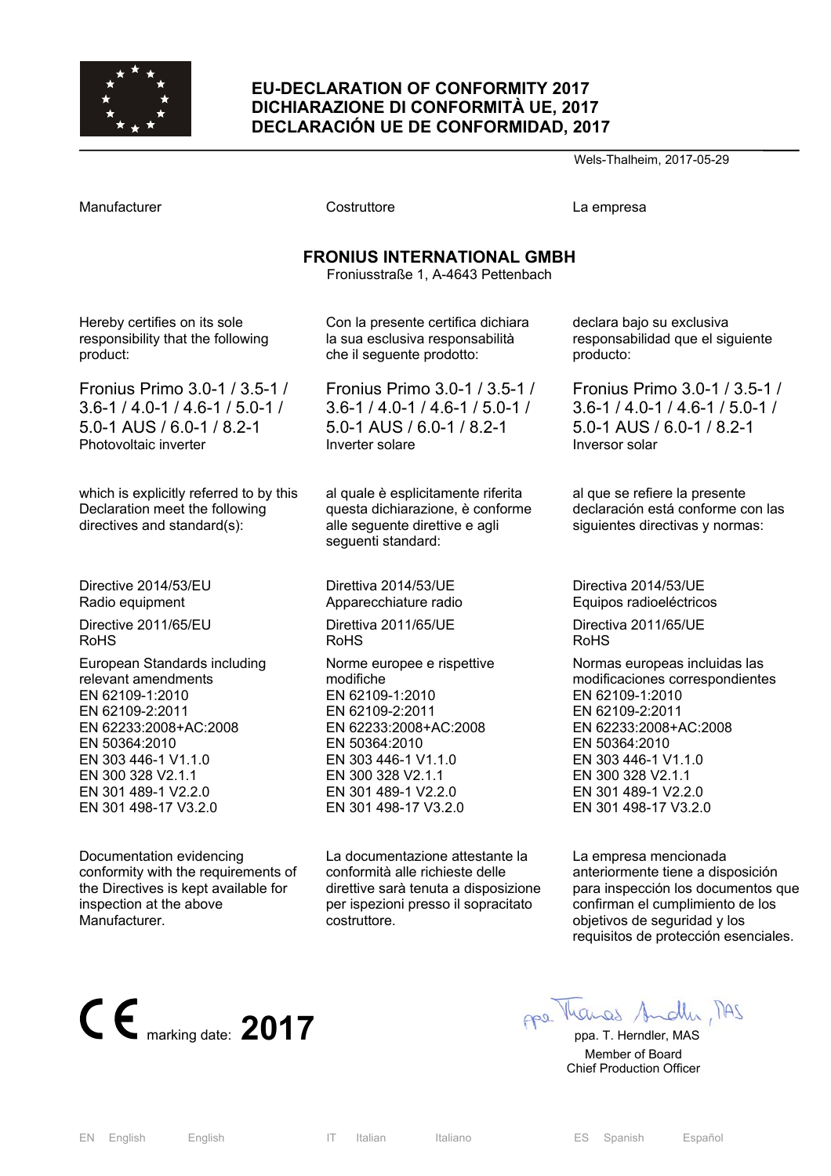

### **EU-DECLARATION OF CONFORMITY 2017 DICHIARAZIONE DI CONFORMITÀ UE, 2017 DECLARACIÓN UE DE CONFORMIDAD, 2017**

Wels-Thalheim, 2017-05-29

Manufacturer Costruttore La empresa

### **FRONIUS INTERNATIONAL GMBH**

Froniusstraße 1, A-4643 Pettenbach

Hereby certifies on its sole responsibility that the following product:

Fronius Primo 3.0-1 / 3.5-1 / 3.6-1 / 4.0-1 / 4.6-1 / 5.0-1 / 5.0-1 AUS / 6.0-1 / 8.2-1 Photovoltaic inverter

which is explicitly referred to by this Declaration meet the following directives and standard(s):

Directive 2014/53/EU Radio equipment

Directive 2011/65/EU RoHS

European Standards including relevant amendments EN 62109-1:2010 EN 62109-2:2011 EN 62233:2008+AC:2008 EN 50364:2010 EN 303 446-1 V1.1.0 EN 300 328 V2.1.1 EN 301 489-1 V2.2.0 EN 301 498-17 V3.2.0

Documentation evidencing conformity with the requirements of the Directives is kept available for inspection at the above Manufacturer.

Con la presente certifica dichiara la sua esclusiva responsabilità che il seguente prodotto:

Fronius Primo 3.0-1 / 3.5-1 / 3.6-1 / 4.0-1 / 4.6-1 / 5.0-1 / 5.0-1 AUS / 6.0-1 / 8.2-1 Inverter solare

al quale è esplicitamente riferita questa dichiarazione, è conforme alle seguente direttive e agli seguenti standard:

Direttiva 2014/53/UE Apparecchiature radio Direttiva 2011/65/UE RoHS Norme europee e rispettive modifiche EN 62109-1:2010 EN 62109-2:2011 EN 62233:2008+AC:2008 EN 50364:2010 EN 303 446-1 V1.1.0 EN 300 328 V2.1.1 EN 301 489-1 V2.2.0 EN 301 498-17 V3.2.0

La documentazione attestante la conformità alle richieste delle direttive sarà tenuta a disposizione per ispezioni presso il sopracitato costruttore.

declara bajo su exclusiva responsabilidad que el siguiente producto:

Fronius Primo 3.0-1 / 3.5-1 / 3.6-1 / 4.0-1 / 4.6-1 / 5.0-1 / 5.0-1 AUS / 6.0-1 / 8.2-1 Inversor solar

al que se refiere la presente declaración está conforme con las siguientes directivas y normas:

Directiva 2014/53/UE Equipos radioeléctricos

Directiva 2011/65/UE RoHS

Normas europeas incluidas las modificaciones correspondientes EN 62109-1:2010 EN 62109-2:2011 EN 62233:2008+AC:2008 EN 50364:2010 EN 303 446-1 V1.1.0 EN 300 328 V2.1.1 EN 301 489-1 V2.2.0 EN 301 498-17 V3.2.0

La empresa mencionada anteriormente tiene a disposición para inspección los documentos que confirman el cumplimiento de los objetivos de seguridad y los requisitos de protección esenciales.



 Member of Board Chief Production Officer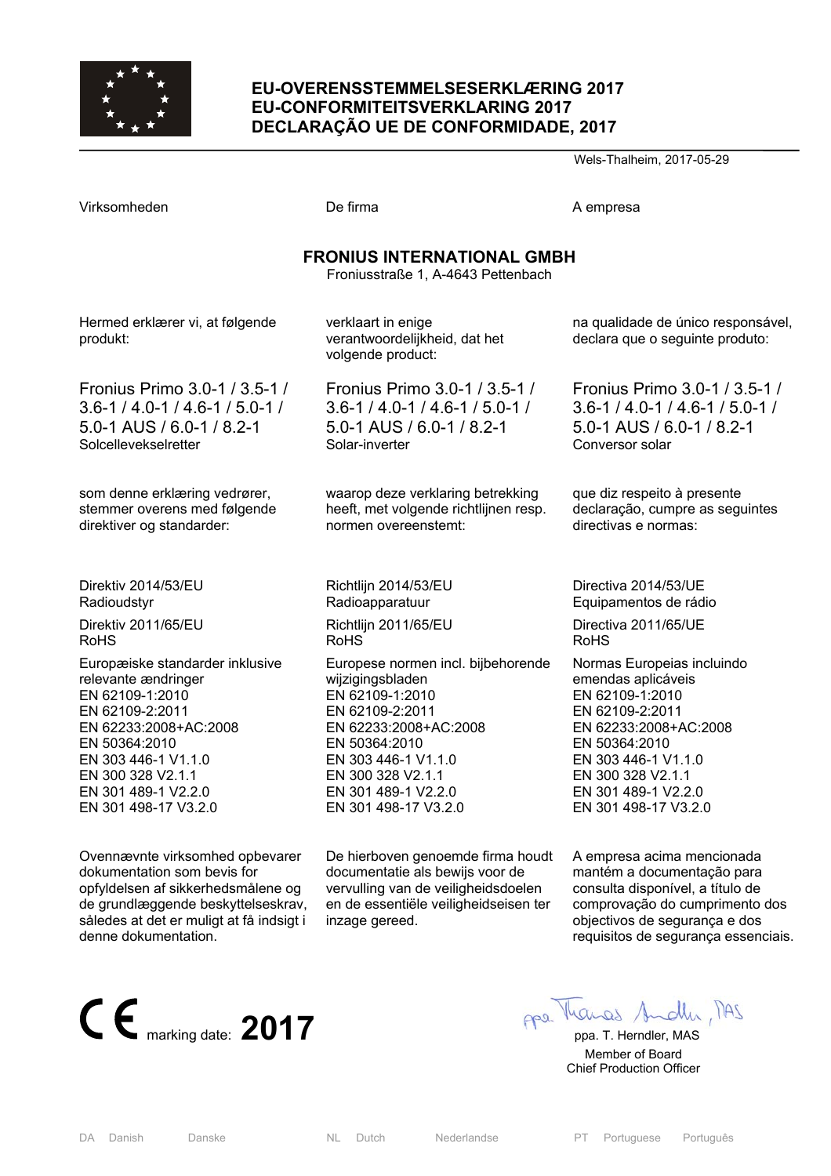

### **EU-OVERENSSTEMMELSESERKLÆRING 2017 EU-CONFORMITEITSVERKLARING 2017 DECLARAÇÃO UE DE CONFORMIDADE, 2017**

Wels-Thalheim, 2017-05-29

|                                             | <b>FRONIUS INTERNATIONAL GMBH</b><br>Froniusstraße 1, A-4643 Pettenbach  |                 |  |
|---------------------------------------------|--------------------------------------------------------------------------|-----------------|--|
| Hermed erklærer vi, at følgende<br>produkt: | verklaart in enige<br>verantwoordelijkheid, dat het<br>volgende product: | na qı<br>decla  |  |
| Fronius Primo 3.0-1 / 3.5-1 /               | Fronius Primo 3.0-1 / 3.5-1 /                                            | Fror            |  |
| $3.6 - 1 / 4.0 - 1 / 4.6 - 1 / 5.0 - 1 /$   | $3.6 - 1/4.0 - 1/4.6 - 1/5.0 - 1/$                                       | $3.6 -$         |  |
| 5.0-1 AUS / 6.0-1 / 8.2-1                   | $5.0 - 1$ AUS / 6.0 - 1 / 8.2 - 1                                        | $5.0-$          |  |
| Solcellevekselretter                        | Solar-inverter                                                           | Cony            |  |
| som denne erklæring vedrører,               | waarop deze verklaring betrekking                                        | que o           |  |
| stemmer overens med følgende                | heeft, met volgende richtlijnen resp.                                    | decla           |  |
| direktiver og standarder:                   | normen overeenstemt:                                                     | direc           |  |
| Direktiv 2014/53/EU                         | Richtlijn 2014/53/EU                                                     | Dired           |  |
| Radioudstyr                                 | Radioapparatuur                                                          | Equi            |  |
| Direktiv 2011/65/EU                         | Richtlijn 2011/65/EU                                                     | Direo           |  |
| <b>RoHS</b>                                 | <b>RoHS</b>                                                              | RoH:            |  |
| Europæiske standarder inklusive             | Europese normen incl. bijbehorende                                       | Norn            |  |
| relevante ændringer                         | wijzigingsbladen                                                         | emer            |  |
| EN 62109-1:2010                             | EN 62109-1:2010                                                          | EN <sub>6</sub> |  |
| EN 62109-2:2011                             | EN 62109-2:2011                                                          | EN 6            |  |

Virksomheden **De firma** De firma A empresa

Europæiske stan relevante ændring EN 62109-1:201 EN 62109-2:2011 EN 62233:2008+AC:2008 EN 50364:2010 EN 303 446-1 V1.1.0 EN 300 328 V2.1.1 EN 301 489-1 V2.2.0 EN 301 498-17 V3.2.0

Ovennævnte virksomhed opbevarer dokumentation som bevis for opfyldelsen af sikkerhedsmålene og de grundlæggende beskyttelseskrav, således at det er muligt at få indsigt i denne dokumentation.



 $2A1$ 

 Member of Board Chief Production Officer

EN 62233:2008+AC:2008 EN 50364:2010 EN 303 446-1 V1.1.0 EN 300 328 V2.1.1 EN 301 489-1 V2.2.0 EN 301 498-17 V3.2.0 De hierboven genoemde firma houdt

documentatie als bewijs voor de vervulling van de veiligheidsdoelen en de essentiële veiligheidseisen ter inzage gereed.

ualidade de único responsável, ara que o seguinte produto:

nius Primo 3.0-1 / 3.5-1 /  $1/4.0 - 1/4.6 - 1/5.0 - 1/$ 5.0-1 AUS / 6.0-1 / 8.2-1 versor solar

diz respeito à presente aração, cumpre as seguintes tivas e normas:

ctiva 2014/53/UE pamentos de rádio

 $ctiva 2011/65/UF$  $\mathbf{s}$ 

nas Europeias incluindo ndas aplicáveis EN 62109-1:2010 EN 62109-2:2011 EN 62233:2008+AC:2008 EN 50364:2010 EN 303 446-1 V1.1.0 EN 300 328 V2.1.1 EN 301 489-1 V2.2.0 EN 301 498-17 V3.2.0

A empresa acima mencionada mantém a documentação para consulta disponível, a título de comprovação do cumprimento dos objectivos de segurança e dos requisitos de segurança essenciais.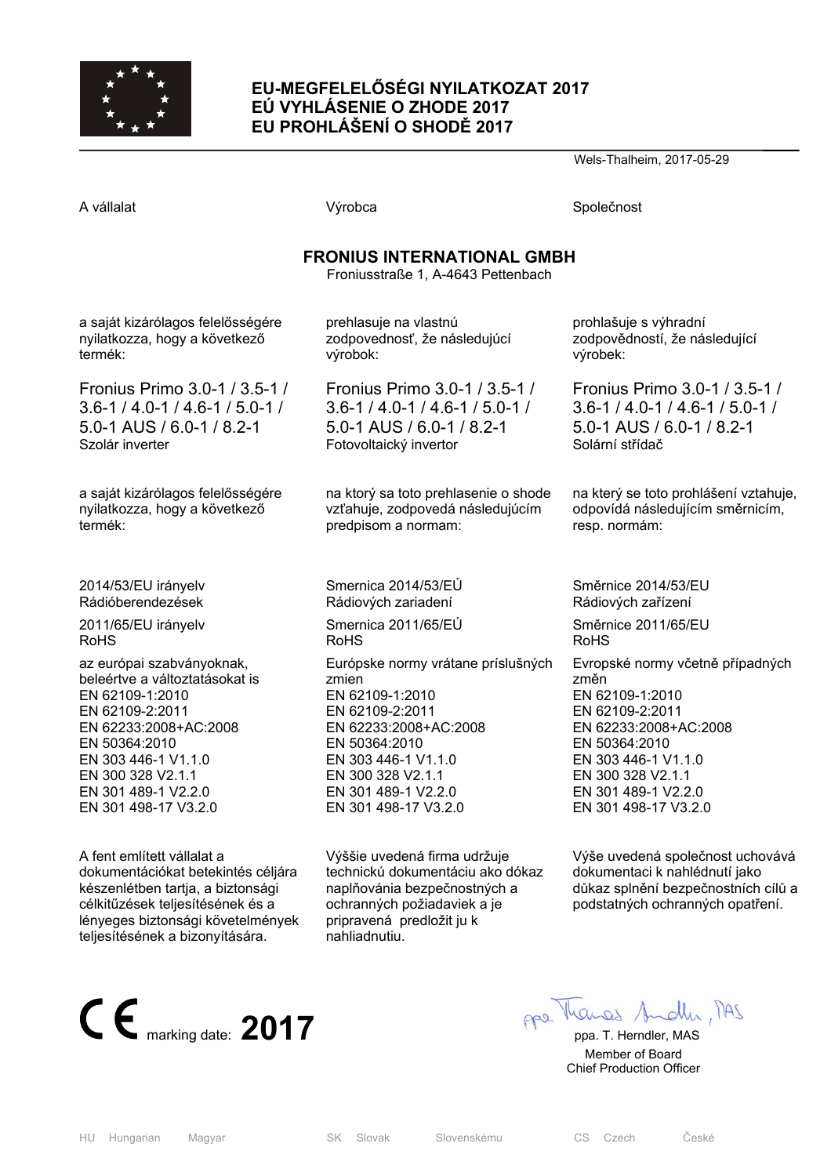

### **EU-MEGFELELŐSÉGI NYILATKOZAT 2017 EÚ VYHLÁSENIE O ZHODE 2017 EU PROHLÁŠENÍ O SHODĚ 2017**

Wels-Thalheim, 2017-05-29

A vállalat Společnost Nýrobca Společnost Společnost Společnost Společnost Společnost Společnost Společnost Společnost Společnost Společnost Společnost Společnost Společnost Společnost Společnost Společnost Společnost Spole

### **FRONIUS INTERNATIONAL GMBH**

Froniusstraße 1, A-4643 Pettenbach

a saját kizárólagos felelősségére nyilatkozza, hogy a következő termék:

Fronius Primo 3.0-1 / 3.5-1 / 3.6-1 / 4.0-1 / 4.6-1 / 5.0-1 / 5.0-1 AUS / 6.0-1 / 8.2-1 Szolár inverter

a saját kizárólagos felelősségére nyilatkozza, hogy a következő termék:

2014/53/EU irányelv Rádióberendezések

2011/65/EU irányelv RoHS

az európai szabványoknak, beleértve a változtatásokat is EN 62109-1:2010 EN 62109-2:2011 EN 62233:2008+AC:2008 EN 50364:2010 EN 303 446-1 V1.1.0 EN 300 328 V2.1.1 EN 301 489-1 V2.2.0 EN 301 498-17 V3.2.0

A fent említett vállalat a dokumentációkat betekintés céljára készenlétben tartja, a biztonsági célkitűzések teljesítésének és a lényeges biztonsági követelmények teljesítésének a bizonyítására.

prehlasuje na vlastnú zodpovednosť, že následujúcí výrobok:

Fronius Primo 3.0-1 / 3.5-1 / 3.6-1 / 4.0-1 / 4.6-1 / 5.0-1 / 5.0-1 AUS / 6.0-1 / 8.2-1 Fotovoltaický invertor

na ktorý sa toto prehlasenie o shode vzťahuje, zodpovedá následujúcím predpisom a normam:

Smernica 2014/53/EÚ Rádiových zariadení Smernica 2011/65/EÚ RoHS Európske normy vrátane príslušných zmien EN 62109-1:2010 EN 62109-2:2011 EN 62233:2008+AC:2008 EN 50364:2010 EN 303 446-1 V1.1.0 EN 300 328 V2.1.1 EN 301 489-1 V2.2.0 EN 301 498-17 V3.2.0

Výššie uvedená firma udržuje technickú dokumentáciu ako dókaz naplňovánia bezpečnostných a ochranných požiadaviek a je pripravená predložit ju k nahliadnutiu.

prohlašuje s výhradní zodpovědností, že následující výrobek:

Fronius Primo 3.0-1 / 3.5-1 / 3.6-1 / 4.0-1 / 4.6-1 / 5.0-1 / 5.0-1 AUS / 6.0-1 / 8.2-1 Solární střídač

na který se toto prohlášení vztahuje, odpovídá následujícím směrnicím, resp. normám:

Směrnice 2014/53/EU Rádiových zařízení

Směrnice 2011/65/EU RoHS

Evropské normy včetně případných změn EN 62109-1:2010 EN 62109-2:2011 EN 62233:2008+AC:2008 EN 50364:2010 EN 303 446-1 V1.1.0 EN 300 328 V2.1.1 EN 301 489-1 V2.2.0 EN 301 498-17 V3.2.0

Výše uvedená společnost uchovává dokumentaci k nahlédnutí jako důkaz splnění bezpečnostních cílů a podstatných ochranných opatření.



 Member of Board Chief Production Officer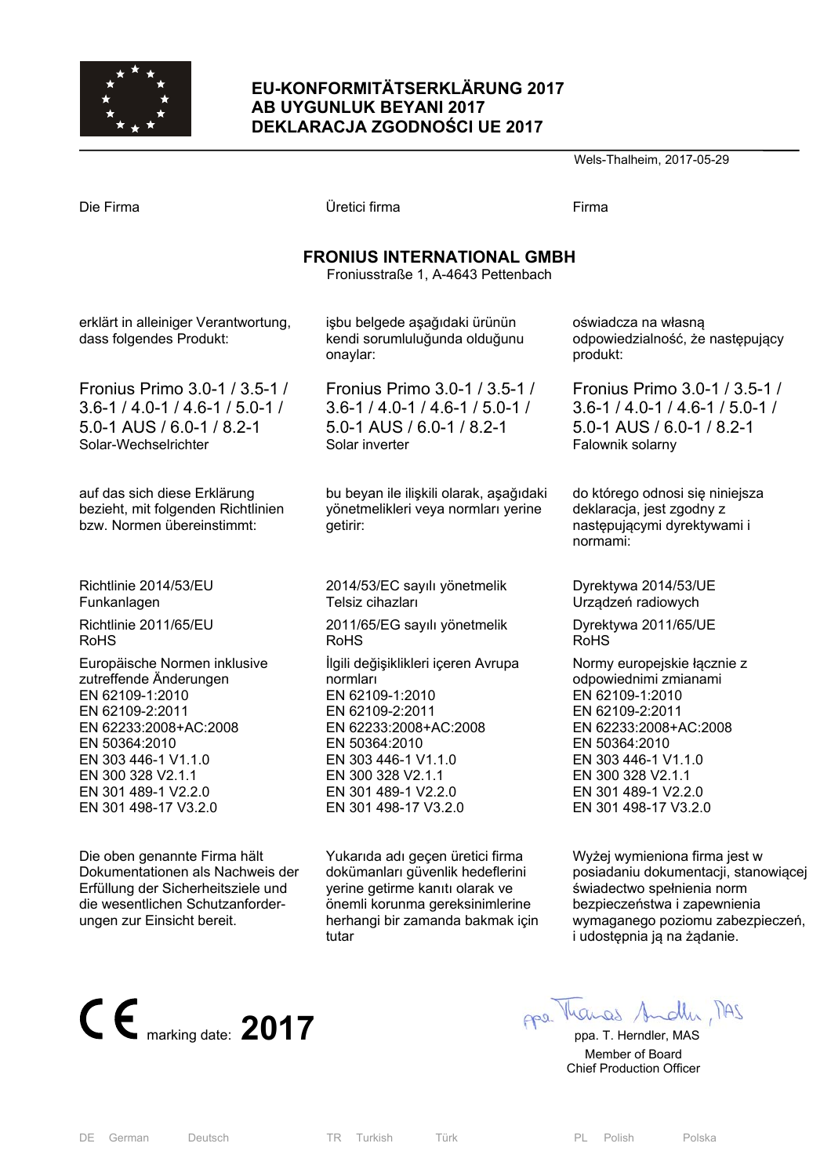

# **EU-KONFORMITÄTSERKLÄRUNG 2017 AB UYGUNLUK BEYANI 2017 DEKLARACJA ZGODNOŚCI UE 2017**

Wels-Thalheim, 2017-05-29

| Die Firma                                                                                        | Üretici firma                                                                              | Firma                                                                                                   |  |
|--------------------------------------------------------------------------------------------------|--------------------------------------------------------------------------------------------|---------------------------------------------------------------------------------------------------------|--|
| <b>FRONIUS INTERNATIONAL GMBH</b><br>Froniusstraße 1, A-4643 Pettenbach                          |                                                                                            |                                                                                                         |  |
| erklärt in alleiniger Verantwortung,<br>dass folgendes Produkt:                                  | işbu belgede aşağıdaki ürünün<br>kendi sorumluluğunda olduğunu<br>onaylar:                 | oświadcza na własną<br>odpowiedzialność, że następujący<br>produkt:                                     |  |
| Fronius Primo 3.0-1 / 3.5-1 /                                                                    | Fronius Primo 3.0-1 / 3.5-1 /                                                              | Fronius Primo 3.0-1 / 3.5-1 /                                                                           |  |
| $3.6 - 1 / 4.0 - 1 / 4.6 - 1 / 5.0 - 1 /$                                                        | $3.6 - 1 / 4.0 - 1 / 4.6 - 1 / 5.0 - 1 /$                                                  | $3.6 - 1 / 4.0 - 1 / 4.6 - 1 / 5.0 - 1 /$                                                               |  |
| 5.0-1 AUS / 6.0-1 / 8.2-1                                                                        | 5.0-1 AUS / 6.0-1 / 8.2-1                                                                  | 5.0-1 AUS / 6.0-1 / 8.2-1                                                                               |  |
| Solar-Wechselrichter                                                                             | Solar inverter                                                                             | Falownik solarny                                                                                        |  |
| auf das sich diese Erklärung<br>bezieht, mit folgenden Richtlinien<br>bzw. Normen übereinstimmt: | bu beyan ile ilişkili olarak, aşağıdaki<br>yönetmelikleri veya normları yerine<br>getirir: | do którego odnosi się niniejsza<br>deklaracja, jest zgodny z<br>następującymi dyrektywami i<br>normami: |  |
| Richtlinie 2014/53/EU                                                                            | 2014/53/EC sayılı yönetmelik                                                               | Dyrektywa 2014/53/UE                                                                                    |  |
| Funkanlagen                                                                                      | Telsiz cihazları                                                                           | Urządzeń radiowych                                                                                      |  |
| Richtlinie 2011/65/EU                                                                            | 2011/65/EG sayılı yönetmelik                                                               | Dyrektywa 2011/65/UE                                                                                    |  |
| <b>RoHS</b>                                                                                      | <b>RoHS</b>                                                                                | <b>RoHS</b>                                                                                             |  |
| Europäische Normen inklusive                                                                     | İlgili değişiklikleri içeren Avrupa                                                        | Normy europejskie łącznie z                                                                             |  |
| zutreffende Änderungen                                                                           | normları                                                                                   | odpowiednimi zmianami                                                                                   |  |
| EN 62109-1:2010                                                                                  | EN 62109-1:2010                                                                            | EN 62109-1:2010                                                                                         |  |
| EN 62109-2:2011                                                                                  | EN 62109-2:2011                                                                            | EN 62109-2:2011                                                                                         |  |
| EN 62233:2008+AC:2008                                                                            | EN 62233:2008+AC:2008                                                                      | EN 62233:2008+AC:2008                                                                                   |  |
| EN 50364:2010                                                                                    | EN 50364:2010                                                                              | EN 50364:2010                                                                                           |  |
| EN 303 446-1 V1.1.0                                                                              | EN 303 446-1 V1.1.0                                                                        | EN 303 446-1 V1.1.0                                                                                     |  |
| EN 300 328 V2.1.1                                                                                | EN 300 328 V2.1.1                                                                          | EN 300 328 V2.1.1                                                                                       |  |
| EN 301 489-1 V2.2.0                                                                              | EN 301 489-1 V2.2.0                                                                        | EN 301 489-1 V2.2.0                                                                                     |  |
| EN 301 498-17 V3.2.0                                                                             | EN 301 498-17 V3.2.0                                                                       | EN 301 498-17 V3.2.0                                                                                    |  |
| Die oben genannte Firma hält                                                                     | Yukarıda adı geçen üretici firma                                                           | Wyżej wymieniona firma jest w                                                                           |  |
| Dokumentationen als Nachweis der                                                                 | dokümanları güvenlik hedeflerini                                                           | posiadaniu dokumentacji, stanowiąc                                                                      |  |
| Erfüllung der Sicherheitsziele und                                                               | yerine getirme kanıtı olarak ve                                                            | świadectwo spełnienia norm                                                                              |  |

Erfüllung der Sicherheitsziele und die wesentlichen Schutzanforderungen zur Einsicht bereit.



posiadaniu dokumentacji, stanowiącej świadectwo spełnienia norm bezpieczeństwa i zapewnienia wymaganego poziomu zabezpieczeń, i udostępnia ją na żądanie.



 Member of Board Chief Production Officer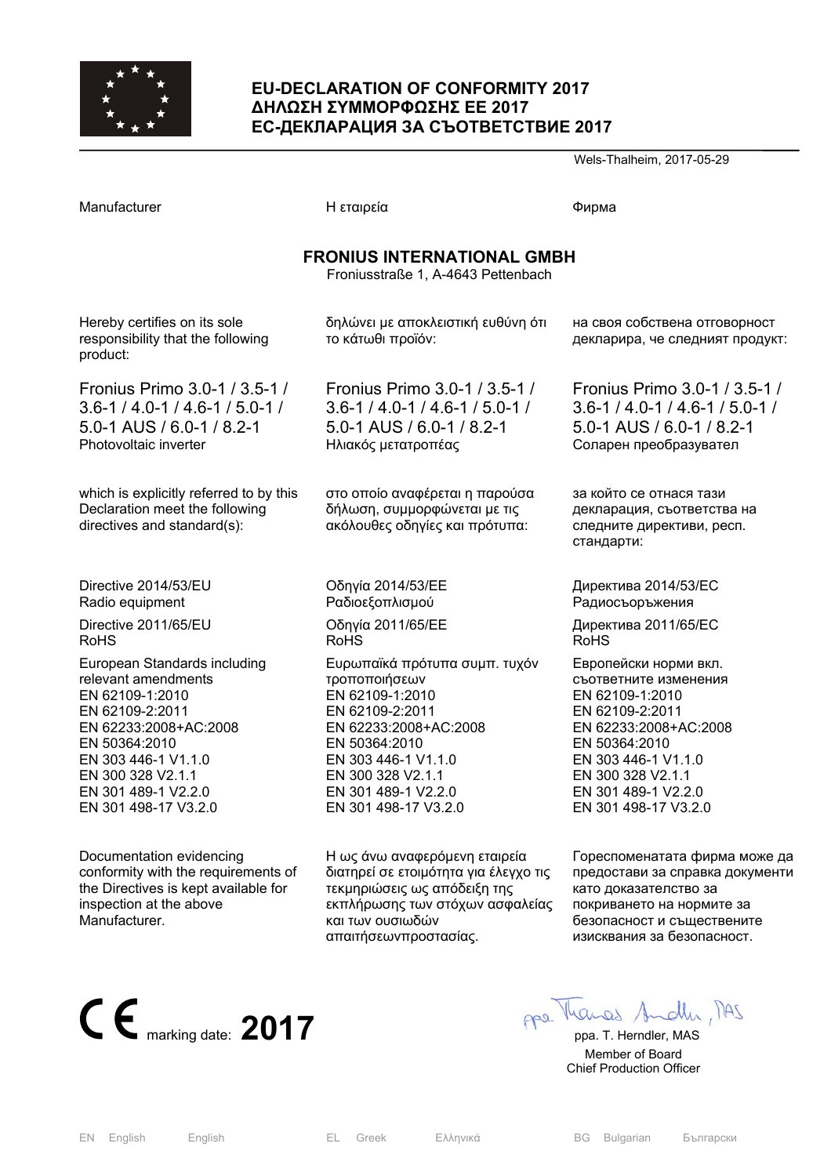

### **EU-DECLARATION OF CONFORMITY 2017 ∆ΗΛΩΣΗ ΣΥΜΜΟΡΦΩΣΗΣ ΕΕ 2017 ЕС-ДЕКЛАРАЦИЯ ЗА СЪОТВЕТСТВИЕ 2017**

Wels-Thalheim, 2017-05-29

| Manufacturer                                                                                                                                                                                                                   | Η εταιρεία                                                                                                                                                                                                                | Фирма                                                                                                                                                                                                                     |  |
|--------------------------------------------------------------------------------------------------------------------------------------------------------------------------------------------------------------------------------|---------------------------------------------------------------------------------------------------------------------------------------------------------------------------------------------------------------------------|---------------------------------------------------------------------------------------------------------------------------------------------------------------------------------------------------------------------------|--|
| <b>FRONIUS INTERNATIONAL GMBH</b><br>Froniusstraße 1, A-4643 Pettenbach                                                                                                                                                        |                                                                                                                                                                                                                           |                                                                                                                                                                                                                           |  |
| Hereby certifies on its sole<br>responsibility that the following<br>product:                                                                                                                                                  | δηλώνει με αποκλειστική ευθύνη ότι<br>το κάτωθι προϊόν:                                                                                                                                                                   | на своя собствена отговорност<br>декларира, че следният продукт:                                                                                                                                                          |  |
| Fronius Primo 3.0-1 / 3.5-1 /<br>$3.6 - 1 / 4.0 - 1 / 4.6 - 1 / 5.0 - 1 /$<br>5.0-1 AUS / 6.0-1 / 8.2-1<br>Photovoltaic inverter                                                                                               | Fronius Primo 3.0-1 / 3.5-1 /<br>$3.6 - 1 / 4.0 - 1 / 4.6 - 1 / 5.0 - 1 /$<br>5.0-1 AUS / 6.0-1 / 8.2-1<br>Ηλιακός μετατροπέας                                                                                            | Fronius Primo 3.0-1 / 3.5-1 /<br>$3.6 - 1 / 4.0 - 1 / 4.6 - 1 / 5.0 - 1 /$<br>5.0-1 AUS / 6.0-1 / 8.2-1<br>Соларен преобразувател                                                                                         |  |
| which is explicitly referred to by this<br>Declaration meet the following<br>directives and standard(s):                                                                                                                       | στο οποίο αναφέρεται η παρούσα<br>δήλωση, συμμορφώνεται με τις<br>ακόλουθες οδηγίες και πρότυπα:                                                                                                                          | за който се отнася тази<br>декларация, съответства на<br>следните директиви, респ.<br>стандарти:                                                                                                                          |  |
| Directive 2014/53/EU<br>Radio equipment                                                                                                                                                                                        | Οδηγία 2014/53/ΕΕ<br>Ραδιοεξοπλισμού                                                                                                                                                                                      | Директива 2014/53/ЕС<br>Радиосъоръжения                                                                                                                                                                                   |  |
| Directive 2011/65/EU<br><b>RoHS</b>                                                                                                                                                                                            | Οδηγία 2011/65/ΕΕ<br><b>RoHS</b>                                                                                                                                                                                          | Директива 2011/65/ЕС<br><b>RoHS</b>                                                                                                                                                                                       |  |
| European Standards including<br>relevant amendments<br>EN 62109-1:2010<br>EN 62109-2:2011<br>EN 62233:2008+AC:2008<br>EN 50364:2010<br>EN 303 446-1 V1.1.0<br>EN 300 328 V2.1.1<br>EN 301 489-1 V2.2.0<br>EN 301 498-17 V3.2.0 | Ευρωπαϊκά πρότυπα συμπ. τυχόν<br>τροποποιήσεων<br>EN 62109-1:2010<br>EN 62109-2:2011<br>EN 62233:2008+AC:2008<br>EN 50364:2010<br>EN 303 446-1 V1.1.0<br>EN 300 328 V2.1.1<br>EN 301 489-1 V2.2.0<br>EN 301 498-17 V3.2.0 | Европейски норми вкл.<br>съответните изменения<br>EN 62109-1:2010<br>EN 62109-2:2011<br>EN 62233:2008+AC:2008<br>EN 50364:2010<br>EN 303 446-1 V1.1.0<br>EN 300 328 V2.1.1<br>EN 301 489-1 V2.2.0<br>EN 301 498-17 V3.2.0 |  |
| Documentation evidencing<br>conformity with the requirements of<br>the Directives is kept available for<br>inspection at the above<br>Manufacturer.                                                                            | Η ως άνω αναφερόμενη εταιρεία<br>διατηρεί σε ετοιμότητα για έλεγχο τις<br>τεκμηριώσεις ως απόδειξη της<br>εκπλήρωσης των στόχων ασφαλείας<br>και των ουσιωδών<br>απαιτήσεωνπροστασίας.                                    | Гореспоменатата фирма може да<br>предостави за справка документи<br>като доказателство за<br>покриването на нормите за<br>безопасност и съществените<br>изисквания за безопасност.                                        |  |



 Member of Board Chief Production Officer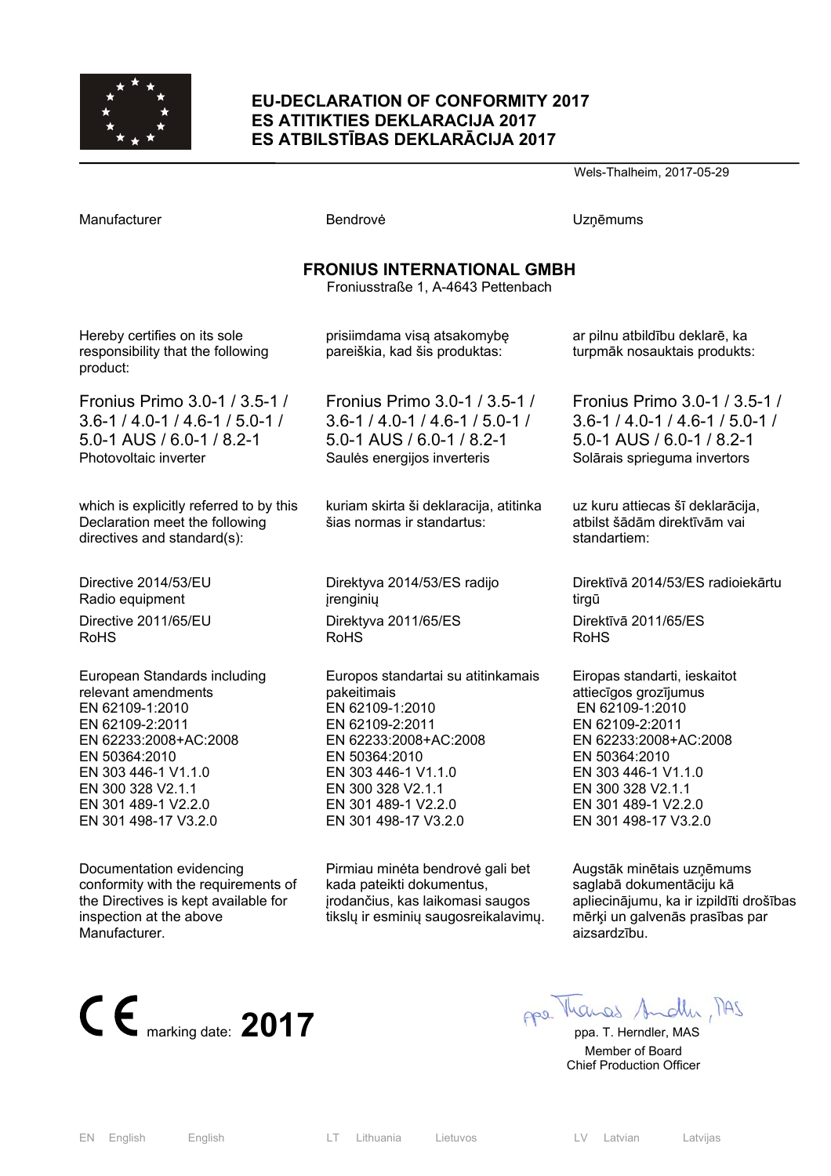

### **EU-DECLARATION OF CONFORMITY 2017 ES ATITIKTIES DEKLARACIJA 2017 ES ATBILSTĪBAS DEKLARĀCIJA 2017**

Wels-Thalheim, 2017-05-29

| Manufacturer                                                                                             | Bendrovė                                                             | <b>Uzņēmums</b>                                                                  |  |
|----------------------------------------------------------------------------------------------------------|----------------------------------------------------------------------|----------------------------------------------------------------------------------|--|
| <b>FRONIUS INTERNATIONAL GMBH</b><br>Froniusstraße 1, A-4643 Pettenbach                                  |                                                                      |                                                                                  |  |
| Hereby certifies on its sole<br>responsibility that the following<br>product:                            | prisiimdama visą atsakomybę<br>pareiškia, kad šis produktas:         | ar pilnu atbildību deklarē, ka<br>turpmāk nosauktais produkts:                   |  |
| Fronius Primo 3.0-1 / 3.5-1 /                                                                            | Fronius Primo 3.0-1 / 3.5-1 /                                        | Fronius Primo 3.0-1 / 3.5-1 /                                                    |  |
| $3.6 - 1 / 4.0 - 1 / 4.6 - 1 / 5.0 - 1 /$                                                                | $3.6 - 1 / 4.0 - 1 / 4.6 - 1 / 5.0 - 1 /$                            | $3.6 - 1 / 4.0 - 1 / 4.6 - 1 / 5.0 - 1 /$                                        |  |
| 5.0-1 AUS / 6.0-1 / 8.2-1                                                                                | 5.0-1 AUS / 6.0-1 / 8.2-1                                            | 5.0-1 AUS / 6.0-1 / 8.2-1                                                        |  |
| Photovoltaic inverter                                                                                    | Saules energijos inverteris                                          | Solārais sprieguma invertors                                                     |  |
| which is explicitly referred to by this<br>Declaration meet the following<br>directives and standard(s): | kuriam skirta ši deklaracija, atitinka<br>šias normas ir standartus: | uz kuru attiecas šī deklarācija,<br>atbilst šādām direktīvām vai<br>standartiem: |  |
| Directive 2014/53/EU                                                                                     | Direktyva 2014/53/ES radijo                                          | Direktīvā 2014/53/ES radioiekārtu                                                |  |
| Radio equipment                                                                                          | jrenginių                                                            | tirgū                                                                            |  |
| Directive 2011/65/EU                                                                                     | Direktyva 2011/65/ES                                                 | Direktīvā 2011/65/ES                                                             |  |
| <b>RoHS</b>                                                                                              | <b>RoHS</b>                                                          | RoHS                                                                             |  |
| European Standards including                                                                             | Europos standartai su atitinkamais                                   | Eiropas standarti, ieskaitot                                                     |  |
| relevant amendments                                                                                      | pakeitimais                                                          | attiecīgos grozījumus                                                            |  |
| EN 62109-1:2010                                                                                          | EN 62109-1:2010                                                      | EN 62109-1:2010                                                                  |  |
| EN 62109-2:2011                                                                                          | EN 62109-2:2011                                                      | EN 62109-2:2011                                                                  |  |
| EN 62233:2008+AC:2008                                                                                    | EN 62233:2008+AC:2008                                                | EN 62233:2008+AC:2008                                                            |  |
| EN 50364:2010                                                                                            | EN 50364:2010                                                        | EN 50364:2010                                                                    |  |
| EN 303 446-1 V1.1.0                                                                                      | EN 303 446-1 V1.1.0                                                  | EN 303 446-1 V1.1.0                                                              |  |
| EN 300 328 V2.1.1                                                                                        | EN 300 328 V2.1.1                                                    | EN 300 328 V2.1.1                                                                |  |
| EN 301 489-1 V2.2.0                                                                                      | EN 301 489-1 V2.2.0                                                  | EN 301 489-1 V2.2.0                                                              |  |
| EN 301 498-17 V3.2.0                                                                                     | EN 301 498-17 V3.2.0                                                 | EN 301 498-17 V3.2.0                                                             |  |
| Documentation evidencing                                                                                 | Pirmiau minėta bendrovė gali bet                                     | Augstāk minētais uzņēmums                                                        |  |
| conformity with the requirements of                                                                      | kada pateikti dokumentus,                                            | saglabā dokumentāciju kā                                                         |  |
| the Directives is kept available for                                                                     | įrodančius, kas laikomasi saugos                                     | apliecinājumu, ka ir izpildīti drošības                                          |  |
| inspection at the above                                                                                  | tiksly ir esminių saugosreikalavimų.                                 | mērķi un galvenās prasības par                                                   |  |



aizsardzību.

 Member of Board Chief Production Officer

Manufacturer.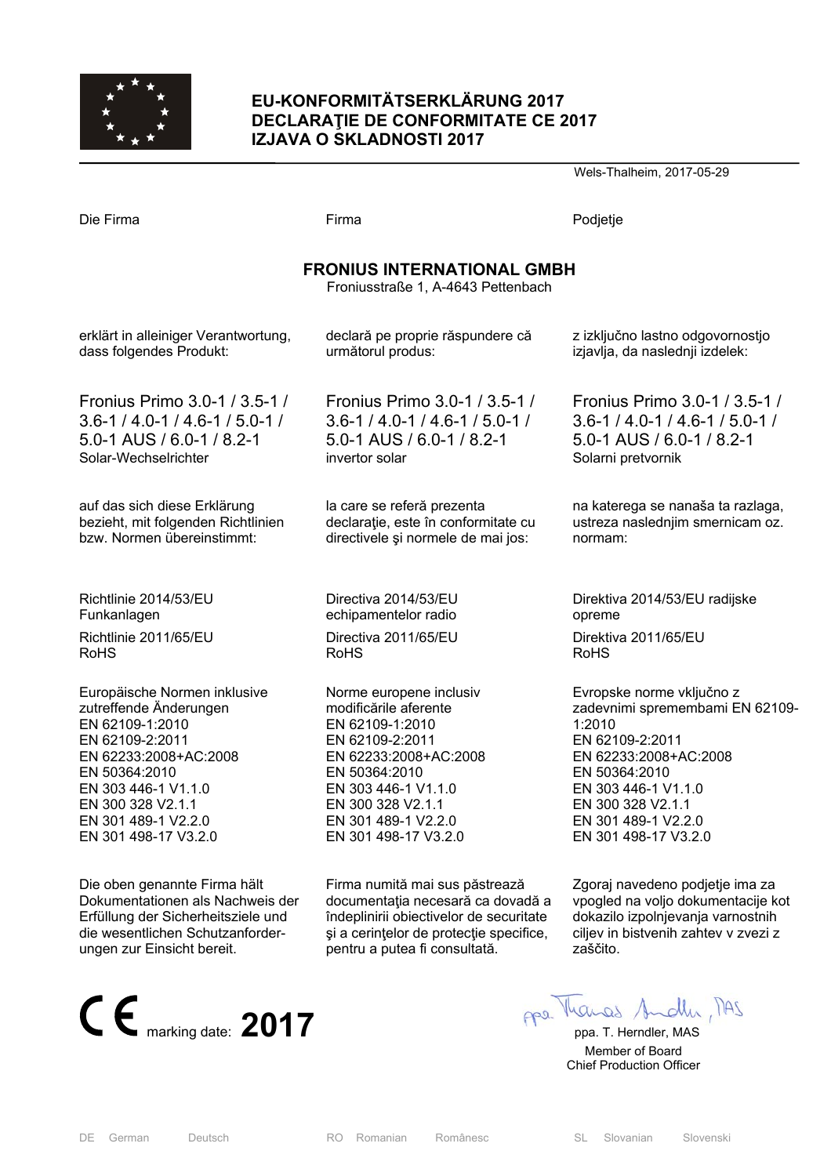

# **EU-KONFORMITÄTSERKLÄRUNG 2017 DECLARAŢIE DE CONFORMITATE CE 2017 IZJAVA O SKLADNOSTI 2017**

Wels-Thalheim, 2017-05-29

| Die Firma                                                               | Firma                                     | Podjetje                                  |  |
|-------------------------------------------------------------------------|-------------------------------------------|-------------------------------------------|--|
| <b>FRONIUS INTERNATIONAL GMBH</b><br>Froniusstraße 1, A-4643 Pettenbach |                                           |                                           |  |
| erklärt in alleiniger Verantwortung,                                    | declară pe proprie răspundere că          | z izključno lastno odgovornostjo          |  |
| dass folgendes Produkt:                                                 | următorul produs:                         | izjavlja, da naslednji izdelek:           |  |
| Fronius Primo 3.0-1 / 3.5-1 /                                           | Fronius Primo 3.0-1 / 3.5-1 /             | Fronius Primo 3.0-1 / 3.5-1 /             |  |
| $3.6 - 1 / 4.0 - 1 / 4.6 - 1 / 5.0 - 1 /$                               | $3.6 - 1 / 4.0 - 1 / 4.6 - 1 / 5.0 - 1 /$ | $3.6 - 1 / 4.0 - 1 / 4.6 - 1 / 5.0 - 1 /$ |  |
| 5.0-1 AUS / 6.0-1 / 8.2-1                                               | 5.0-1 AUS / 6.0-1 / 8.2-1                 | $5.0 - 1$ AUS / 6.0 - 1 / 8.2 - 1         |  |
| Solar-Wechselrichter                                                    | invertor solar                            | Solarni pretvornik                        |  |
| auf das sich diese Erklärung                                            | la care se referă prezenta                | na katerega se nanaša ta razlaga,         |  |
| bezieht, mit folgenden Richtlinien                                      | declarație, este în conformitate cu       | ustreza naslednjim smernicam oz.          |  |
| bzw. Normen übereinstimmt:                                              | directivele și normele de mai jos:        | normam:                                   |  |
| Richtlinie 2014/53/EU                                                   | Directiva 2014/53/EU                      | Direktiva 2014/53/EU radijske             |  |
| Funkanlagen                                                             | echipamentelor radio                      | opreme                                    |  |
| Richtlinie 2011/65/EU                                                   | Directiva 2011/65/EU                      | Direktiva 2011/65/EU                      |  |
| <b>RoHS</b>                                                             | <b>RoHS</b>                               | <b>RoHS</b>                               |  |
| Europäische Normen inklusive                                            | Norme europene inclusiv                   | Evropske norme vključno z                 |  |
| zutreffende Änderungen                                                  | modificările aferente                     | zadevnimi spremembami EN 62109-           |  |
| EN 62109-1:2010                                                         | EN 62109-1:2010                           | 1:2010                                    |  |
| EN 62109-2:2011                                                         | EN 62109-2:2011                           | EN 62109-2:2011                           |  |
| EN 62233:2008+AC:2008                                                   | EN 62233:2008+AC:2008                     | EN 62233:2008+AC:2008                     |  |
| EN 50364:2010                                                           | EN 50364:2010                             | EN 50364:2010                             |  |
| EN 303 446-1 V1.1.0                                                     | EN 303 446-1 V1.1.0                       | EN 303 446-1 V1.1.0                       |  |
| EN 300 328 V2.1.1                                                       | EN 300 328 V2.1.1                         | EN 300 328 V2.1.1                         |  |
| EN 301 489-1 V2.2.0                                                     | EN 301 489-1 V2.2.0                       | EN 301 489-1 V2.2.0                       |  |
| EN 301 498-17 V3.2.0                                                    | EN 301 498-17 V3.2.0                      | EN 301 498-17 V3.2.0                      |  |
| Die oben genannte Firma hält                                            | Firma numită mai sus păstrează            | Zgoraj navedeno podjetje ima za           |  |
| Dokumentationen als Nachweis der                                        | documentația necesară ca dovadă a         | vpogled na voljo dokumentacije kot        |  |
| Erfüllung der Sicherheitsziele und                                      | îndeplinirii obiectivelor de securitate   | dokazilo izpolnjevanja varnostnih         |  |
| die wesentlichen Schutzanforder-                                        | și a cerințelor de protecție specifice,   | ciljev in bistvenih zahtev v zvezi z      |  |
| ungen zur Einsicht bereit.                                              | pentru a putea fi consultată.             | zaščito.                                  |  |



 Member of Board Chief Production Officer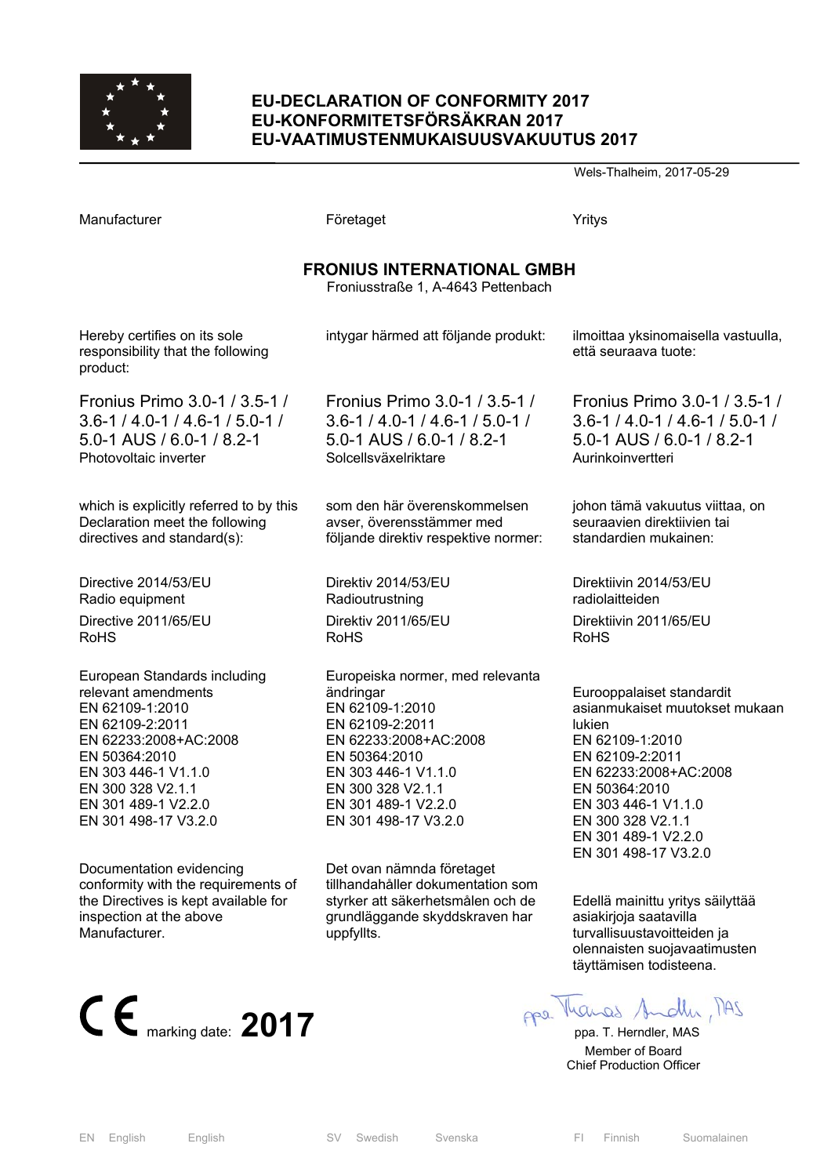

### **EU-DECLARATION OF CONFORMITY 2017 EU-KONFORMITETSFÖRSÄKRAN 2017 EU-VAATIMUSTENMUKAISUUSVAKUUTUS 2017**

Wels-Thalheim, 2017-05-29

| Manufacturer                                                                                                                                                                                                                   | Företaget                                                                                                                                                                                                                | Yritys                                                                                                                                                                                                                                                  |  |
|--------------------------------------------------------------------------------------------------------------------------------------------------------------------------------------------------------------------------------|--------------------------------------------------------------------------------------------------------------------------------------------------------------------------------------------------------------------------|---------------------------------------------------------------------------------------------------------------------------------------------------------------------------------------------------------------------------------------------------------|--|
| <b>FRONIUS INTERNATIONAL GMBH</b><br>Froniusstraße 1, A-4643 Pettenbach                                                                                                                                                        |                                                                                                                                                                                                                          |                                                                                                                                                                                                                                                         |  |
| Hereby certifies on its sole<br>responsibility that the following<br>product:                                                                                                                                                  | intygar härmed att följande produkt:                                                                                                                                                                                     | ilmoittaa yksinomaisella vastuulla,<br>että seuraava tuote:                                                                                                                                                                                             |  |
| Fronius Primo 3.0-1 / 3.5-1 /                                                                                                                                                                                                  | Fronius Primo 3.0-1 / 3.5-1 /                                                                                                                                                                                            | Fronius Primo 3.0-1 / 3.5-1 /                                                                                                                                                                                                                           |  |
| $3.6 - 1 / 4.0 - 1 / 4.6 - 1 / 5.0 - 1 /$                                                                                                                                                                                      | $3.6 - 1 / 4.0 - 1 / 4.6 - 1 / 5.0 - 1 /$                                                                                                                                                                                | $3.6 - 1 / 4.0 - 1 / 4.6 - 1 / 5.0 - 1 /$                                                                                                                                                                                                               |  |
| 5.0-1 AUS / 6.0-1 / 8.2-1                                                                                                                                                                                                      | 5.0-1 AUS / 6.0-1 / 8.2-1                                                                                                                                                                                                | 5.0-1 AUS / 6.0-1 / 8.2-1                                                                                                                                                                                                                               |  |
| Photovoltaic inverter                                                                                                                                                                                                          | Solcellsväxelriktare                                                                                                                                                                                                     | Aurinkoinvertteri                                                                                                                                                                                                                                       |  |
| which is explicitly referred to by this                                                                                                                                                                                        | som den här överenskommelsen                                                                                                                                                                                             | johon tämä vakuutus viittaa, on                                                                                                                                                                                                                         |  |
| Declaration meet the following                                                                                                                                                                                                 | avser, överensstämmer med                                                                                                                                                                                                | seuraavien direktiivien tai                                                                                                                                                                                                                             |  |
| directives and standard(s):                                                                                                                                                                                                    | följande direktiv respektive normer:                                                                                                                                                                                     | standardien mukainen:                                                                                                                                                                                                                                   |  |
| Directive 2014/53/EU                                                                                                                                                                                                           | Direktiv 2014/53/EU                                                                                                                                                                                                      | Direktiivin 2014/53/EU                                                                                                                                                                                                                                  |  |
| Radio equipment                                                                                                                                                                                                                | Radioutrustning                                                                                                                                                                                                          | radiolaitteiden                                                                                                                                                                                                                                         |  |
| Directive 2011/65/EU                                                                                                                                                                                                           | Direktiv 2011/65/EU                                                                                                                                                                                                      | Direktiivin 2011/65/EU                                                                                                                                                                                                                                  |  |
| <b>RoHS</b>                                                                                                                                                                                                                    | <b>RoHS</b>                                                                                                                                                                                                              | <b>RoHS</b>                                                                                                                                                                                                                                             |  |
| European Standards including<br>relevant amendments<br>EN 62109-1:2010<br>EN 62109-2:2011<br>EN 62233:2008+AC:2008<br>EN 50364:2010<br>EN 303 446-1 V1.1.0<br>EN 300 328 V2.1.1<br>EN 301 489-1 V2.2.0<br>EN 301 498-17 V3.2.0 | Europeiska normer, med relevanta<br>ändringar<br>EN 62109-1:2010<br>EN 62109-2:2011<br>EN 62233:2008+AC:2008<br>EN 50364:2010<br>EN 303 446-1 V1.1.0<br>EN 300 328 V2.1.1<br>EN 301 489-1 V2.2.0<br>EN 301 498-17 V3.2.0 | Eurooppalaiset standardit<br>asianmukaiset muutokset mukaan<br><b>lukien</b><br>EN 62109-1:2010<br>EN 62109-2:2011<br>EN 62233:2008+AC:2008<br>EN 50364:2010<br>EN 303 446-1 V1.1.0<br>EN 300 328 V2.1.1<br>EN 301 489-1 V2.2.0<br>EN 301 498-17 V3.2.0 |  |
| Documentation evidencing                                                                                                                                                                                                       | Det ovan nämnda företaget                                                                                                                                                                                                | Edellä mainittu yritys säilyttää                                                                                                                                                                                                                        |  |
| conformity with the requirements of                                                                                                                                                                                            | tillhandahåller dokumentation som                                                                                                                                                                                        | asiakirjoja saatavilla                                                                                                                                                                                                                                  |  |
| the Directives is kept available for                                                                                                                                                                                           | styrker att säkerhetsmålen och de                                                                                                                                                                                        | turvallisuustavoitteiden ja                                                                                                                                                                                                                             |  |
| inspection at the above                                                                                                                                                                                                        | grundläggande skyddskraven har                                                                                                                                                                                           | olennaisten suojavaatimusten                                                                                                                                                                                                                            |  |
| Manufacturer.                                                                                                                                                                                                                  | uppfyllts.                                                                                                                                                                                                               | täyttämisen todisteena.                                                                                                                                                                                                                                 |  |
| $C \epsilon$ <sub>marking date:</sub> 2017                                                                                                                                                                                     |                                                                                                                                                                                                                          | ges. Manas Andle, MAS<br>ppa. T. Herndler, MAS                                                                                                                                                                                                          |  |

 Member of Board Chief Production Officer